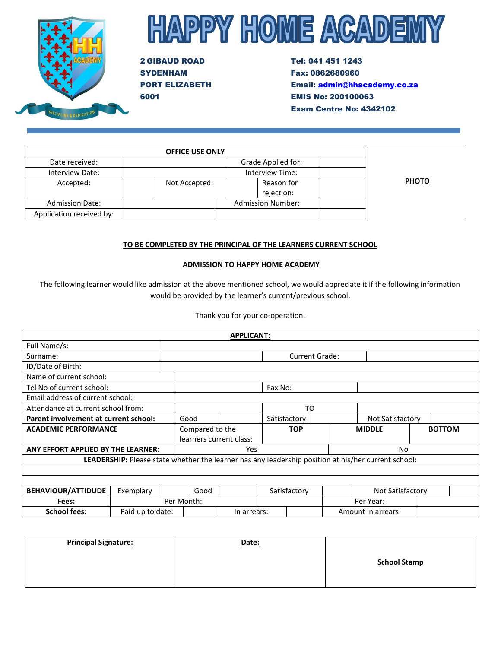

# **HAPPY HOME ACADEMY**

2 GIBAUD ROAD SYDENHAM PORT ELIZABETH 6001

Tel: 041 451 1243 Fax: 0862680960 Email: [admin@hhacademy.co.za](mailto:admin@hhacademy.co.za) EMIS No: 200100063 Exam Centre No: 4342102

|                          | <b>OFFICE USE ONLY</b> |                          |              |
|--------------------------|------------------------|--------------------------|--------------|
| Date received:           |                        | Grade Applied for:       |              |
| Interview Date:          |                        | Interview Time:          |              |
| Accepted:                | Not Accepted:          | Reason for               | <b>PHOTO</b> |
|                          |                        | rejection:               |              |
| <b>Admission Date:</b>   |                        | <b>Admission Number:</b> |              |
| Application received by: |                        |                          |              |

# **TO BE COMPLETED BY THE PRINCIPAL OF THE LEARNERS CURRENT SCHOOL**

# **ADMISSION TO HAPPY HOME ACADEMY**

The following learner would like admission at the above mentioned school, we would appreciate it if the following information would be provided by the learner's current/previous school.

Thank you for your co-operation.

|                                       |                                    |                 |      | <b>APPLICANT:</b>       |                                                                                                     |               |                    |  |               |
|---------------------------------------|------------------------------------|-----------------|------|-------------------------|-----------------------------------------------------------------------------------------------------|---------------|--------------------|--|---------------|
| Full Name/s:                          |                                    |                 |      |                         |                                                                                                     |               |                    |  |               |
| Surname:                              |                                    |                 |      | <b>Current Grade:</b>   |                                                                                                     |               |                    |  |               |
| ID/Date of Birth:                     |                                    |                 |      |                         |                                                                                                     |               |                    |  |               |
| Name of current school:               |                                    |                 |      |                         |                                                                                                     |               |                    |  |               |
| Tel No of current school:             |                                    |                 |      |                         | Fax No:                                                                                             |               |                    |  |               |
| Email address of current school:      |                                    |                 |      |                         |                                                                                                     |               |                    |  |               |
| Attendance at current school from:    |                                    |                 |      |                         | TO                                                                                                  |               |                    |  |               |
| Parent involvement at current school: |                                    | Good            |      |                         | Satisfactory                                                                                        |               | Not Satisfactory   |  |               |
| <b>ACADEMIC PERFORMANCE</b>           |                                    | Compared to the |      |                         | <b>TOP</b>                                                                                          | <b>MIDDLE</b> |                    |  | <b>BOTTOM</b> |
|                                       |                                    |                 |      | learners current class: |                                                                                                     |               |                    |  |               |
|                                       | ANY EFFORT APPLIED BY THE LEARNER: |                 |      | <b>Yes</b>              | No                                                                                                  |               |                    |  |               |
|                                       |                                    |                 |      |                         | LEADERSHIP: Please state whether the learner has any leadership position at his/her current school: |               |                    |  |               |
|                                       |                                    |                 |      |                         |                                                                                                     |               |                    |  |               |
|                                       |                                    |                 |      |                         |                                                                                                     |               |                    |  |               |
| <b>BEHAVIOUR/ATTIDUDE</b>             | Exemplary                          |                 | Good |                         | Satisfactory                                                                                        |               | Not Satisfactory   |  |               |
| Fees:                                 |                                    | Per Month:      |      |                         |                                                                                                     |               | Per Year:          |  |               |
| <b>School fees:</b>                   | Paid up to date:                   |                 |      | In arrears:             |                                                                                                     |               | Amount in arrears: |  |               |

| <b>Principal Signature:</b> | Date: |                     |
|-----------------------------|-------|---------------------|
|                             |       | <b>School Stamp</b> |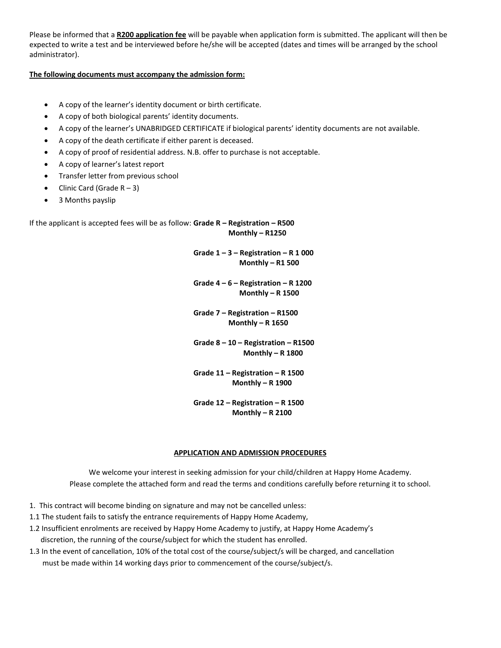Please be informed that a **R200 application fee** will be payable when application form is submitted. The applicant will then be expected to write a test and be interviewed before he/she will be accepted (dates and times will be arranged by the school administrator).

# **The following documents must accompany the admission form:**

- A copy of the learner's identity document or birth certificate.
- A copy of both biological parents' identity documents.
- A copy of the learner's UNABRIDGED CERTIFICATE if biological parents' identity documents are not available.
- A copy of the death certificate if either parent is deceased.
- A copy of proof of residential address. N.B. offer to purchase is not acceptable.
- A copy of learner's latest report
- Transfer letter from previous school
- Clinic Card (Grade  $R 3$ )
- 3 Months payslip

If the applicant is accepted fees will be as follow: **Grade R – Registration – R500 Monthly – R1250**

> **Grade 1 – 3 – Registration – R 1 000 Monthly – R1 500**

 **Grade 4 – 6 – Registration – R 1200 Monthly – R 1500**

 **Grade 7 – Registration – R1500 Monthly – R 1650**

 **Grade 8 – 10 – Registration – R1500 Monthly – R 1800**

 **Grade 11 – Registration – R 1500 Monthly – R 1900**

 **Grade 12 – Registration – R 1500 Monthly – R 2100**

# **APPLICATION AND ADMISSION PROCEDURES**

We welcome your interest in seeking admission for your child/children at Happy Home Academy. Please complete the attached form and read the terms and conditions carefully before returning it to school.

- 1. This contract will become binding on signature and may not be cancelled unless:
- 1.1 The student fails to satisfy the entrance requirements of Happy Home Academy,
- 1.2 Insufficient enrolments are received by Happy Home Academy to justify, at Happy Home Academy's discretion, the running of the course/subject for which the student has enrolled.
- 1.3 In the event of cancellation, 10% of the total cost of the course/subject/s will be charged, and cancellation must be made within 14 working days prior to commencement of the course/subject/s.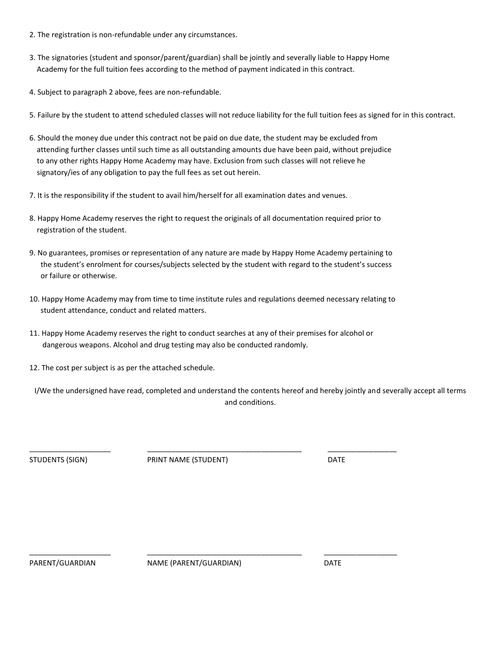- 2. The registration is non-refundable under any circumstances.
- 3. The signatories (student and sponsor/parent/guardian) shall be jointly and severally liable to Happy Home Academy for the full tuition fees according to the method of payment indicated in this contract.
- 4. Subject to paragraph 2 above, fees are non-refundable.
- 5. Failure by the student to attend scheduled classes will not reduce liability for the full tuition fees as signed for in this contract.
- 6. Should the money due under this contract not be paid on due date, the student may be excluded from attending further classes until such time as all outstanding amounts due have been paid, without prejudice to any other rights Happy Home Academy may have. Exclusion from such classes will not relieve he signatory/ies of any obligation to pay the full fees as set out herein.
- 7. It is the responsibility if the student to avail him/herself for all examination dates and venues.
- 8. Happy Home Academy reserves the right to request the originals of all documentation required prior to registration of the student.
- 9. No guarantees, promises or representation of any nature are made by Happy Home Academy pertaining to the student's enrolment for courses/subjects selected by the student with regard to the student's success or failure or otherwise.
- 10. Happy Home Academy may from time to time institute rules and regulations deemed necessary relating to student attendance, conduct and related matters.
- 11. Happy Home Academy reserves the right to conduct searches at any of their premises for alcohol or dangerous weapons. Alcohol and drug testing may also be conducted randomly.
- 12. The cost per subject is as per the attached schedule.

I/We the undersigned have read, completed and understand the contents hereof and hereby jointly and severally accept all terms and conditions.

STUDENTS (SIGN) PRINT NAME (STUDENT) DATE

\_\_\_\_\_\_\_\_\_\_\_\_\_\_\_\_\_\_\_\_ \_\_\_\_\_\_\_\_\_\_\_\_\_\_\_\_\_\_\_\_\_\_\_\_\_\_\_\_\_\_\_\_\_\_\_\_\_\_ \_\_\_\_\_\_\_\_\_\_\_\_\_\_\_\_\_

PARENT/GUARDIAN NAME (PARENT/GUARDIAN) DATE

\_\_\_\_\_\_\_\_\_\_\_\_\_\_\_\_\_\_\_\_ \_\_\_\_\_\_\_\_\_\_\_\_\_\_\_\_\_\_\_\_\_\_\_\_\_\_\_\_\_\_\_\_\_\_\_\_\_\_ \_\_\_\_\_\_\_\_\_\_\_\_\_\_\_\_\_\_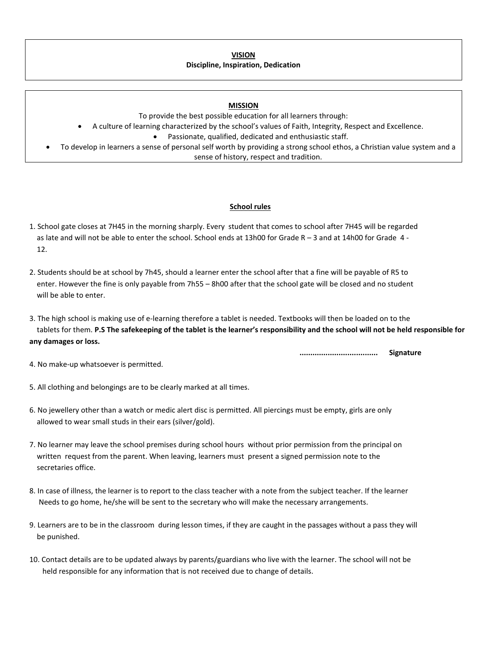**VISION Discipline, Inspiration, Dedication**

#### **MISSION**

To provide the best possible education for all learners through:

- A culture of learning characterized by the school's values of Faith, Integrity, Respect and Excellence.
	- Passionate, qualified, dedicated and enthusiastic staff.
- To develop in learners a sense of personal self worth by providing a strong school ethos, a Christian value system and a sense of history, respect and tradition.

#### **School rules**

- 1. School gate closes at 7H45 in the morning sharply. Every student that comes to school after 7H45 will be regarded as late and will not be able to enter the school. School ends at 13h00 for Grade R – 3 and at 14h00 for Grade 4 - 12.
- 2. Students should be at school by 7h45, should a learner enter the school after that a fine will be payable of R5 to enter. However the fine is only payable from 7h55 – 8h00 after that the school gate will be closed and no student will be able to enter.
- 3. The high school is making use of e-learning therefore a tablet is needed. Textbooks will then be loaded on to the tablets for them. **P.S The safekeeping of the tablet is the learner's responsibility and the school will not be held responsible for any damages or loss.**

 **.................................... Signature**

- 4. No make-up whatsoever is permitted.
- 5. All clothing and belongings are to be clearly marked at all times.
- 6. No jewellery other than a watch or medic alert disc is permitted. All piercings must be empty, girls are only allowed to wear small studs in their ears (silver/gold).
- 7. No learner may leave the school premises during school hours without prior permission from the principal on written request from the parent. When leaving, learners must present a signed permission note to the secretaries office.
- 8. In case of illness, the learner is to report to the class teacher with a note from the subject teacher. If the learner Needs to go home, he/she will be sent to the secretary who will make the necessary arrangements.
- 9. Learners are to be in the classroom during lesson times, if they are caught in the passages without a pass they will be punished.
- 10. Contact details are to be updated always by parents/guardians who live with the learner. The school will not be held responsible for any information that is not received due to change of details.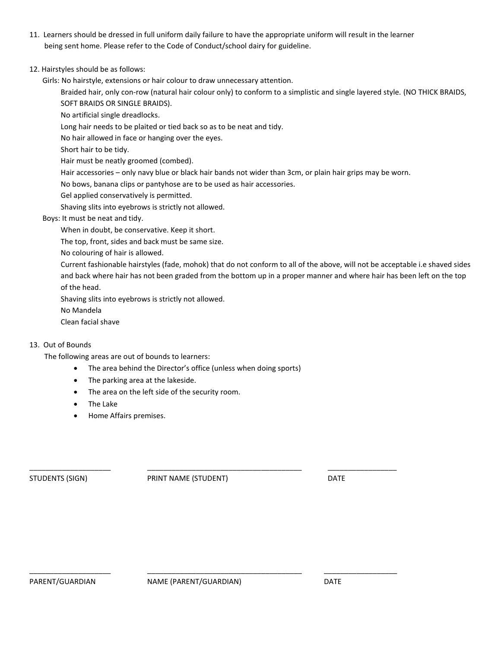- 11. Learners should be dressed in full uniform daily failure to have the appropriate uniform will result in the learner being sent home. Please refer to the Code of Conduct/school dairy for guideline.
- 12. Hairstyles should be as follows:

Girls: No hairstyle, extensions or hair colour to draw unnecessary attention.

Braided hair, only con-row (natural hair colour only) to conform to a simplistic and single layered style. (NO THICK BRAIDS, SOFT BRAIDS OR SINGLE BRAIDS).

No artificial single dreadlocks.

Long hair needs to be plaited or tied back so as to be neat and tidy.

No hair allowed in face or hanging over the eyes.

Short hair to be tidy.

Hair must be neatly groomed (combed).

Hair accessories – only navy blue or black hair bands not wider than 3cm, or plain hair grips may be worn.

No bows, banana clips or pantyhose are to be used as hair accessories.

Gel applied conservatively is permitted.

Shaving slits into eyebrows is strictly not allowed.

# Boys: It must be neat and tidy.

When in doubt, be conservative. Keep it short.

The top, front, sides and back must be same size.

No colouring of hair is allowed.

Current fashionable hairstyles (fade, mohok) that do not conform to all of the above, will not be acceptable i.e shaved sides and back where hair has not been graded from the bottom up in a proper manner and where hair has been left on the top of the head.

Shaving slits into eyebrows is strictly not allowed.

No Mandela

Clean facial shave

# 13. Out of Bounds

The following areas are out of bounds to learners:

- The area behind the Director's office (unless when doing sports)
- The parking area at the lakeside.
- The area on the left side of the security room.
- The Lake
- Home Affairs premises.

STUDENTS (SIGN) PRINT NAME (STUDENT) DATE

\_\_\_\_\_\_\_\_\_\_\_\_\_\_\_\_\_\_\_\_ \_\_\_\_\_\_\_\_\_\_\_\_\_\_\_\_\_\_\_\_\_\_\_\_\_\_\_\_\_\_\_\_\_\_\_\_\_\_ \_\_\_\_\_\_\_\_\_\_\_\_\_\_\_\_\_

\_\_\_\_\_\_\_\_\_\_\_\_\_\_\_\_\_\_\_\_ \_\_\_\_\_\_\_\_\_\_\_\_\_\_\_\_\_\_\_\_\_\_\_\_\_\_\_\_\_\_\_\_\_\_\_\_\_\_ \_\_\_\_\_\_\_\_\_\_\_\_\_\_\_\_\_\_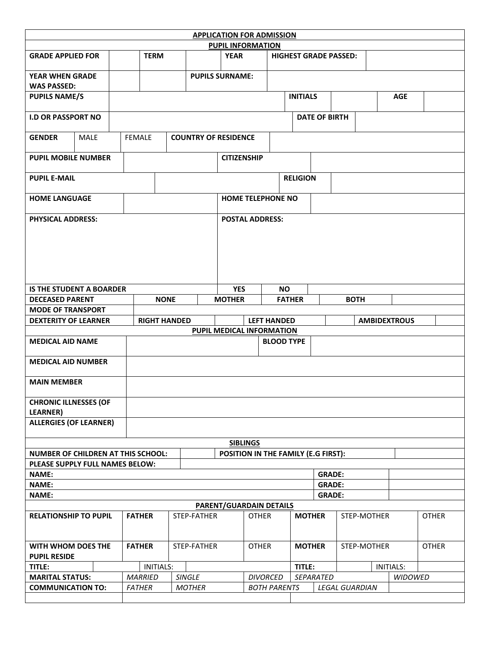|                               | <b>APPLICATION FOR ADMISSION</b>                                                                |                |                  |               |                                                |                     |                 |                      |                              |             |                  |              |
|-------------------------------|-------------------------------------------------------------------------------------------------|----------------|------------------|---------------|------------------------------------------------|---------------------|-----------------|----------------------|------------------------------|-------------|------------------|--------------|
|                               |                                                                                                 |                |                  |               | <b>PUPIL INFORMATION</b>                       |                     |                 |                      |                              |             |                  |              |
| <b>GRADE APPLIED FOR</b>      |                                                                                                 |                | <b>TERM</b>      |               | <b>YEAR</b>                                    |                     |                 |                      | <b>HIGHEST GRADE PASSED:</b> |             |                  |              |
| <b>YEAR WHEN GRADE</b>        |                                                                                                 |                |                  |               | <b>PUPILS SURNAME:</b>                         |                     |                 |                      |                              |             |                  |              |
| <b>WAS PASSED:</b>            |                                                                                                 |                |                  |               |                                                |                     |                 |                      |                              |             |                  |              |
| <b>PUPILS NAME/S</b>          |                                                                                                 |                |                  |               |                                                |                     | <b>INITIALS</b> |                      |                              |             | <b>AGE</b>       |              |
| <b>I.D OR PASSPORT NO</b>     |                                                                                                 |                |                  |               |                                                |                     |                 | <b>DATE OF BIRTH</b> |                              |             |                  |              |
| <b>GENDER</b>                 | <b>MALE</b>                                                                                     | <b>FEMALE</b>  |                  |               | <b>COUNTRY OF RESIDENCE</b>                    |                     |                 |                      |                              |             |                  |              |
| <b>PUPIL MOBILE NUMBER</b>    |                                                                                                 |                |                  |               | <b>CITIZENSHIP</b>                             |                     |                 |                      |                              |             |                  |              |
| <b>PUPIL E-MAIL</b>           |                                                                                                 |                |                  |               |                                                |                     | <b>RELIGION</b> |                      |                              |             |                  |              |
| <b>HOME LANGUAGE</b>          |                                                                                                 |                |                  |               | <b>HOME TELEPHONE NO</b>                       |                     |                 |                      |                              |             |                  |              |
| <b>PHYSICAL ADDRESS:</b>      |                                                                                                 |                |                  |               | <b>POSTAL ADDRESS:</b>                         |                     |                 |                      |                              |             |                  |              |
|                               |                                                                                                 |                |                  |               |                                                |                     |                 |                      |                              |             |                  |              |
|                               |                                                                                                 |                |                  |               |                                                |                     |                 |                      |                              |             |                  |              |
|                               |                                                                                                 |                |                  |               |                                                |                     |                 |                      |                              |             |                  |              |
|                               |                                                                                                 |                |                  |               |                                                |                     |                 |                      |                              |             |                  |              |
|                               | <b>IS THE STUDENT A BOARDER</b>                                                                 |                |                  |               | <b>YES</b>                                     |                     | <b>NO</b>       |                      |                              |             |                  |              |
| <b>DECEASED PARENT</b>        |                                                                                                 |                | <b>NONE</b>      |               | <b>MOTHER</b>                                  |                     | <b>FATHER</b>   |                      | <b>BOTH</b>                  |             |                  |              |
| <b>MODE OF TRANSPORT</b>      |                                                                                                 |                |                  |               |                                                |                     |                 |                      |                              |             |                  |              |
|                               | <b>DEXTERITY OF LEARNER</b><br><b>RIGHT HANDED</b><br><b>LEFT HANDED</b><br><b>AMBIDEXTROUS</b> |                |                  |               |                                                |                     |                 |                      |                              |             |                  |              |
|                               |                                                                                                 |                |                  |               |                                                |                     |                 |                      |                              |             |                  |              |
|                               |                                                                                                 |                |                  |               | PUPIL MEDICAL INFORMATION                      |                     |                 |                      |                              |             |                  |              |
| <b>MEDICAL AID NAME</b>       |                                                                                                 |                |                  |               |                                                | <b>BLOOD TYPE</b>   |                 |                      |                              |             |                  |              |
| <b>MEDICAL AID NUMBER</b>     |                                                                                                 |                |                  |               |                                                |                     |                 |                      |                              |             |                  |              |
| <b>MAIN MEMBER</b>            |                                                                                                 |                |                  |               |                                                |                     |                 |                      |                              |             |                  |              |
| <b>CHRONIC ILLNESSES (OF</b>  |                                                                                                 |                |                  |               |                                                |                     |                 |                      |                              |             |                  |              |
| <b>LEARNER)</b>               |                                                                                                 |                |                  |               |                                                |                     |                 |                      |                              |             |                  |              |
| <b>ALLERGIES (OF LEARNER)</b> |                                                                                                 |                |                  |               |                                                |                     |                 |                      |                              |             |                  |              |
|                               |                                                                                                 |                |                  |               | <b>SIBLINGS</b>                                |                     |                 |                      |                              |             |                  |              |
|                               | NUMBER OF CHILDREN AT THIS SCHOOL:                                                              |                |                  |               | POSITION IN THE FAMILY (E.G FIRST):            |                     |                 |                      |                              |             |                  |              |
|                               | PLEASE SUPPLY FULL NAMES BELOW:                                                                 |                |                  |               |                                                |                     |                 |                      |                              |             |                  |              |
| <b>NAME:</b>                  |                                                                                                 |                |                  |               |                                                |                     |                 | <b>GRADE:</b>        |                              |             |                  |              |
| <b>NAME:</b>                  |                                                                                                 |                |                  |               |                                                |                     |                 | <b>GRADE:</b>        |                              |             |                  |              |
| <b>NAME:</b>                  |                                                                                                 |                |                  |               |                                                |                     |                 | <b>GRADE:</b>        |                              |             |                  |              |
| <b>RELATIONSHIP TO PUPIL</b>  |                                                                                                 | <b>FATHER</b>  |                  | STEP-FATHER   | <b>PARENT/GUARDAIN DETAILS</b><br><b>OTHER</b> |                     | <b>MOTHER</b>   |                      |                              | STEP-MOTHER |                  | <b>OTHER</b> |
| WITH WHOM DOES THE            |                                                                                                 | <b>FATHER</b>  |                  | STEP-FATHER   | <b>OTHER</b>                                   |                     | <b>MOTHER</b>   |                      |                              | STEP-MOTHER |                  | <b>OTHER</b> |
| <b>PUPIL RESIDE</b>           |                                                                                                 |                |                  |               |                                                |                     |                 |                      |                              |             |                  |              |
| TITLE:                        |                                                                                                 |                | <b>INITIALS:</b> |               |                                                |                     | TITLE:          |                      |                              |             | <b>INITIALS:</b> |              |
| <b>MARITAL STATUS:</b>        |                                                                                                 | <b>MARRIED</b> |                  | SINGLE        |                                                | <b>DIVORCED</b>     |                 | SEPARATED            |                              |             | WIDOWED          |              |
| <b>COMMUNICATION TO:</b>      |                                                                                                 | <b>FATHER</b>  |                  | <b>MOTHER</b> |                                                | <b>BOTH PARENTS</b> |                 |                      | <b>LEGAL GUARDIAN</b>        |             |                  |              |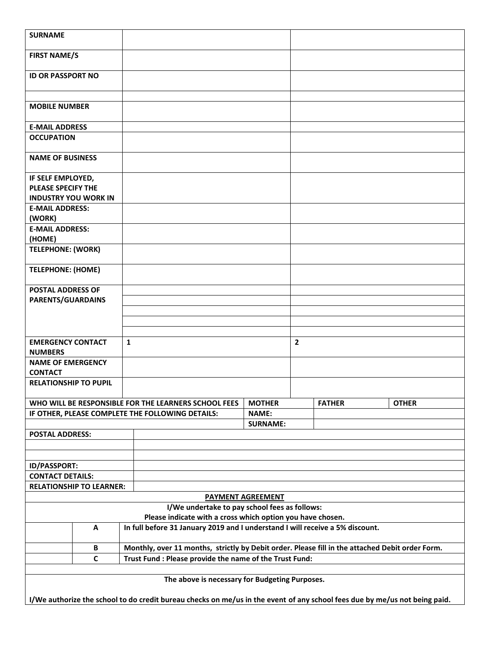| <b>SURNAME</b>                             |                                                      |              |                                                            |                                                |                |                                                                                                 |                                                                                                                            |
|--------------------------------------------|------------------------------------------------------|--------------|------------------------------------------------------------|------------------------------------------------|----------------|-------------------------------------------------------------------------------------------------|----------------------------------------------------------------------------------------------------------------------------|
| <b>FIRST NAME/S</b>                        |                                                      |              |                                                            |                                                |                |                                                                                                 |                                                                                                                            |
| <b>ID OR PASSPORT NO</b>                   |                                                      |              |                                                            |                                                |                |                                                                                                 |                                                                                                                            |
| <b>MOBILE NUMBER</b>                       |                                                      |              |                                                            |                                                |                |                                                                                                 |                                                                                                                            |
| <b>E-MAIL ADDRESS</b>                      |                                                      |              |                                                            |                                                |                |                                                                                                 |                                                                                                                            |
| <b>OCCUPATION</b>                          |                                                      |              |                                                            |                                                |                |                                                                                                 |                                                                                                                            |
| <b>NAME OF BUSINESS</b>                    |                                                      |              |                                                            |                                                |                |                                                                                                 |                                                                                                                            |
| IF SELF EMPLOYED,                          |                                                      |              |                                                            |                                                |                |                                                                                                 |                                                                                                                            |
| <b>PLEASE SPECIFY THE</b>                  |                                                      |              |                                                            |                                                |                |                                                                                                 |                                                                                                                            |
| <b>INDUSTRY YOU WORK IN</b>                |                                                      |              |                                                            |                                                |                |                                                                                                 |                                                                                                                            |
| <b>E-MAIL ADDRESS:</b>                     |                                                      |              |                                                            |                                                |                |                                                                                                 |                                                                                                                            |
| (WORK)<br><b>E-MAIL ADDRESS:</b>           |                                                      |              |                                                            |                                                |                |                                                                                                 |                                                                                                                            |
| (HOME)                                     |                                                      |              |                                                            |                                                |                |                                                                                                 |                                                                                                                            |
| <b>TELEPHONE: (WORK)</b>                   |                                                      |              |                                                            |                                                |                |                                                                                                 |                                                                                                                            |
| <b>TELEPHONE: (HOME)</b>                   |                                                      |              |                                                            |                                                |                |                                                                                                 |                                                                                                                            |
| <b>POSTAL ADDRESS OF</b>                   |                                                      |              |                                                            |                                                |                |                                                                                                 |                                                                                                                            |
| PARENTS/GUARDAINS                          |                                                      |              |                                                            |                                                |                |                                                                                                 |                                                                                                                            |
|                                            |                                                      |              |                                                            |                                                |                |                                                                                                 |                                                                                                                            |
|                                            |                                                      |              |                                                            |                                                |                |                                                                                                 |                                                                                                                            |
| <b>EMERGENCY CONTACT</b>                   |                                                      | $\mathbf{1}$ |                                                            |                                                | $\overline{2}$ |                                                                                                 |                                                                                                                            |
| <b>NUMBERS</b>                             |                                                      |              |                                                            |                                                |                |                                                                                                 |                                                                                                                            |
| <b>NAME OF EMERGENCY</b><br><b>CONTACT</b> |                                                      |              |                                                            |                                                |                |                                                                                                 |                                                                                                                            |
| <b>RELATIONSHIP TO PUPIL</b>               |                                                      |              |                                                            |                                                |                |                                                                                                 |                                                                                                                            |
|                                            |                                                      |              |                                                            |                                                |                |                                                                                                 |                                                                                                                            |
|                                            | WHO WILL BE RESPONSIBLE FOR THE LEARNERS SCHOOL FEES |              |                                                            | <b>MOTHER</b>                                  |                | <b>FATHER</b>                                                                                   | <b>OTHER</b>                                                                                                               |
|                                            | IF OTHER, PLEASE COMPLETE THE FOLLOWING DETAILS:     |              |                                                            | <b>NAME:</b>                                   |                |                                                                                                 |                                                                                                                            |
|                                            |                                                      |              |                                                            | <b>SURNAME:</b>                                |                |                                                                                                 |                                                                                                                            |
| <b>POSTAL ADDRESS:</b>                     |                                                      |              |                                                            |                                                |                |                                                                                                 |                                                                                                                            |
|                                            |                                                      |              |                                                            |                                                |                |                                                                                                 |                                                                                                                            |
|                                            |                                                      |              |                                                            |                                                |                |                                                                                                 |                                                                                                                            |
| ID/PASSPORT:<br><b>CONTACT DETAILS:</b>    |                                                      |              |                                                            |                                                |                |                                                                                                 |                                                                                                                            |
|                                            | <b>RELATIONSHIP TO LEARNER:</b>                      |              |                                                            |                                                |                |                                                                                                 |                                                                                                                            |
|                                            |                                                      |              |                                                            | <b>PAYMENT AGREEMENT</b>                       |                |                                                                                                 |                                                                                                                            |
|                                            |                                                      |              |                                                            | I/We undertake to pay school fees as follows:  |                |                                                                                                 |                                                                                                                            |
|                                            |                                                      |              | Please indicate with a cross which option you have chosen. |                                                |                |                                                                                                 |                                                                                                                            |
|                                            | A                                                    |              |                                                            |                                                |                | In full before 31 January 2019 and I understand I will receive a 5% discount.                   |                                                                                                                            |
|                                            | В                                                    |              |                                                            |                                                |                | Monthly, over 11 months, strictly by Debit order. Please fill in the attached Debit order Form. |                                                                                                                            |
|                                            | $\mathsf{C}$                                         |              | Trust Fund : Please provide the name of the Trust Fund:    |                                                |                |                                                                                                 |                                                                                                                            |
|                                            |                                                      |              |                                                            |                                                |                |                                                                                                 |                                                                                                                            |
|                                            |                                                      |              |                                                            | The above is necessary for Budgeting Purposes. |                |                                                                                                 |                                                                                                                            |
|                                            |                                                      |              |                                                            |                                                |                |                                                                                                 | I/We authorize the school to do credit bureau checks on me/us in the event of any school fees due by me/us not being paid. |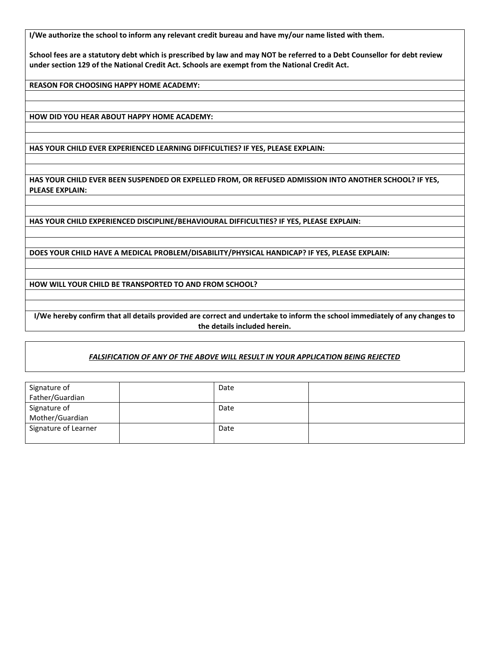**I/We authorize the school to inform any relevant credit bureau and have my/our name listed with them.**

**School fees are a statutory debt which is prescribed by law and may NOT be referred to a Debt Counsellor for debt review under section 129 of the National Credit Act. Schools are exempt from the National Credit Act.**

**REASON FOR CHOOSING HAPPY HOME ACADEMY:**

**HOW DID YOU HEAR ABOUT HAPPY HOME ACADEMY:**

**HAS YOUR CHILD EVER EXPERIENCED LEARNING DIFFICULTIES? IF YES, PLEASE EXPLAIN:**

**HAS YOUR CHILD EVER BEEN SUSPENDED OR EXPELLED FROM, OR REFUSED ADMISSION INTO ANOTHER SCHOOL? IF YES, PLEASE EXPLAIN:** 

**HAS YOUR CHILD EXPERIENCED DISCIPLINE/BEHAVIOURAL DIFFICULTIES? IF YES, PLEASE EXPLAIN:**

**DOES YOUR CHILD HAVE A MEDICAL PROBLEM/DISABILITY/PHYSICAL HANDICAP? IF YES, PLEASE EXPLAIN:**

**HOW WILL YOUR CHILD BE TRANSPORTED TO AND FROM SCHOOL?**

**I/We hereby confirm that all details provided are correct and undertake to inform the school immediately of any changes to the details included herein.**

#### *FALSIFICATION OF ANY OF THE ABOVE WILL RESULT IN YOUR APPLICATION BEING REJECTED*

| Signature of         | Date |  |
|----------------------|------|--|
| Father/Guardian      |      |  |
| Signature of         | Date |  |
| Mother/Guardian      |      |  |
| Signature of Learner | Date |  |
|                      |      |  |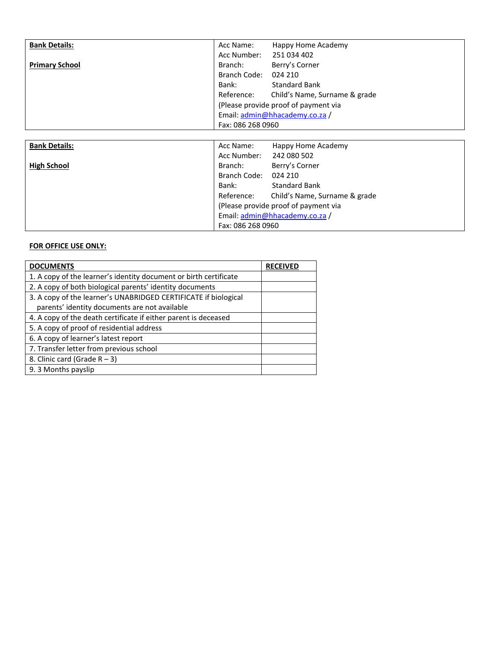| <b>Bank Details:</b>  | Happy Home Academy<br>Acc Name:             |
|-----------------------|---------------------------------------------|
|                       | Acc Number:<br>251 034 402                  |
| <b>Primary School</b> | Berry's Corner<br>Branch:                   |
|                       | Branch Code:<br>024 210                     |
|                       | <b>Standard Bank</b><br>Bank:               |
|                       | Child's Name, Surname & grade<br>Reference: |
|                       | (Please provide proof of payment via        |
|                       | Email: admin@hhacademy.co.za /              |
|                       | Fax: 086 268 0960                           |
|                       |                                             |
| <b>Bank Details:</b>  | Happy Home Academy<br>Acc Name:             |
|                       | Acc Number:<br>242 080 502                  |
| <b>High School</b>    | Berry's Corner<br>Branch:                   |

Branch Code: 024 210

Fax: 086 268 0960

Bank: Standard Bank<br>Reference: Child's Name, S

(Please provide proof of payment via Email: [admin@hhacademy.co.za](mailto:admin@hhacademy.co.za) /

Child's Name, Surname & grade

| <b>DOCUMENTS</b>                                                  | <b>RECEIVED</b> |
|-------------------------------------------------------------------|-----------------|
| 1. A copy of the learner's identity document or birth certificate |                 |
| 2. A copy of both biological parents' identity documents          |                 |
| 3. A copy of the learner's UNABRIDGED CERTIFICATE if biological   |                 |
| parents' identity documents are not available                     |                 |
| 4. A copy of the death certificate if either parent is deceased   |                 |
| 5. A copy of proof of residential address                         |                 |
| 6. A copy of learner's latest report                              |                 |
| 7. Transfer letter from previous school                           |                 |
| 8. Clinic card (Grade $R - 3$ )                                   |                 |
| 9.3 Months payslip                                                |                 |

**FOR OFFICE USE ONLY:**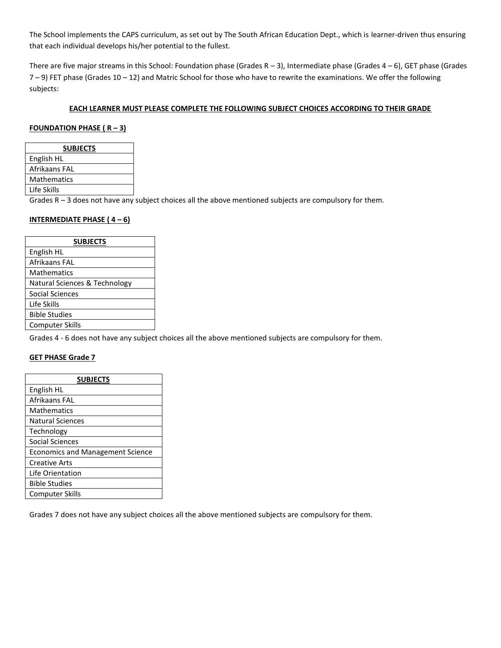The School implements the CAPS curriculum, as set out by The South African Education Dept., which is learner-driven thus ensuring that each individual develops his/her potential to the fullest.

There are five major streams in this School: Foundation phase (Grades  $R - 3$ ), Intermediate phase (Grades  $4 - 6$ ), GET phase (Grades  $7 - 9$ ) FET phase (Grades  $10 - 12$ ) and Matric School for those who have to rewrite the examinations. We offer the following subjects:

### **EACH LEARNER MUST PLEASE COMPLETE THE FOLLOWING SUBJECT CHOICES ACCORDING TO THEIR GRADE**

#### **FOUNDATION PHASE ( R – 3)**

| <b>SUBJECTS</b> |
|-----------------|
| English HL      |
| Afrikaans FAL   |
| Mathematics     |
| Life Skills     |

Grades R – 3 does not have any subject choices all the above mentioned subjects are compulsory for them.

# **INTERMEDIATE PHASE ( 4 – 6)**

| <b>SUBJECTS</b>               |  |  |  |  |
|-------------------------------|--|--|--|--|
| English HL                    |  |  |  |  |
| Afrikaans FAL                 |  |  |  |  |
| <b>Mathematics</b>            |  |  |  |  |
| Natural Sciences & Technology |  |  |  |  |
| Social Sciences               |  |  |  |  |
| Life Skills                   |  |  |  |  |
| <b>Bible Studies</b>          |  |  |  |  |
| Computer Skills               |  |  |  |  |

Grades 4 - 6 does not have any subject choices all the above mentioned subjects are compulsory for them.

#### **GET PHASE Grade 7**

| <b>SUBJECTS</b>                         |
|-----------------------------------------|
| English HL                              |
| Afrikaans FAL                           |
| <b>Mathematics</b>                      |
| Natural Sciences                        |
| Technology                              |
| Social Sciences                         |
| <b>Economics and Management Science</b> |
| Creative Arts                           |
| Life Orientation                        |
| Bible Studies                           |
| <b>Computer Skills</b>                  |

Grades 7 does not have any subject choices all the above mentioned subjects are compulsory for them.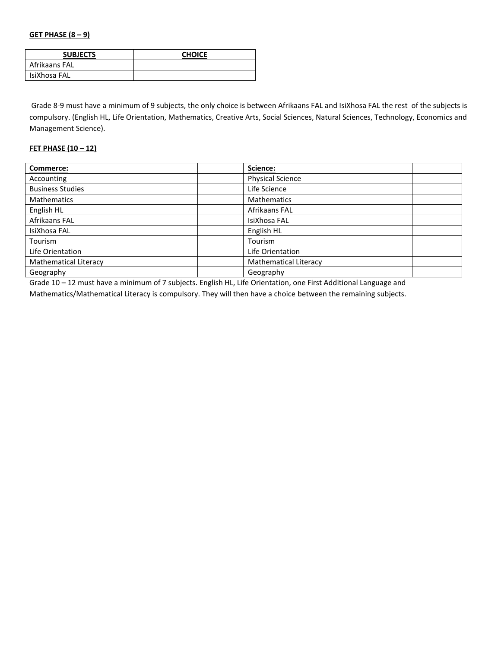#### **GET PHASE (8 – 9)**

| <b>SUBJECTS</b> | <b>CHOICE</b> |
|-----------------|---------------|
| Afrikaans FAL   |               |
| IsiXhosa FAL    |               |

Grade 8-9 must have a minimum of 9 subjects, the only choice is between Afrikaans FAL and IsiXhosa FAL the rest of the subjects is compulsory. (English HL, Life Orientation, Mathematics, Creative Arts, Social Sciences, Natural Sciences, Technology, Economics and Management Science).

# **FET PHASE (10 – 12)**

| Commerce:                    | Science:                     |
|------------------------------|------------------------------|
| Accounting                   | <b>Physical Science</b>      |
| <b>Business Studies</b>      | Life Science                 |
| <b>Mathematics</b>           | <b>Mathematics</b>           |
| English HL                   | Afrikaans FAL                |
| Afrikaans FAL                | IsiXhosa FAL                 |
| IsiXhosa FAL                 | English HL                   |
| Tourism                      | Tourism                      |
| Life Orientation             | Life Orientation             |
| <b>Mathematical Literacy</b> | <b>Mathematical Literacy</b> |
| Geography                    | Geography                    |

Grade 10 – 12 must have a minimum of 7 subjects. English HL, Life Orientation, one First Additional Language and

Mathematics/Mathematical Literacy is compulsory. They will then have a choice between the remaining subjects.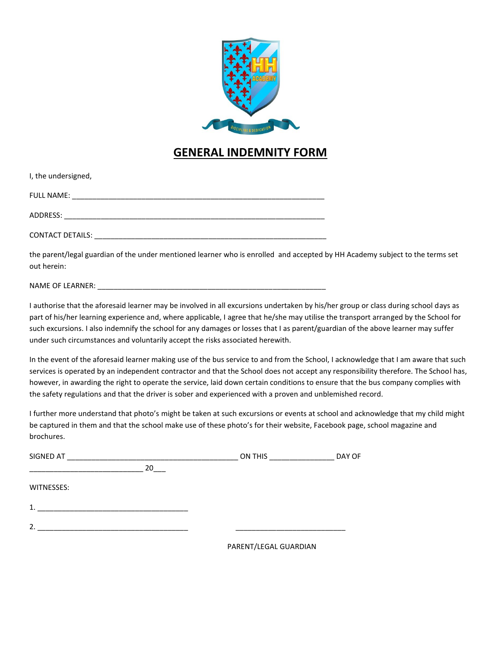

# **GENERAL INDEMNITY FORM**

| I, the undersigned,     |  |
|-------------------------|--|
| <b>FULL NAME:</b>       |  |
|                         |  |
| <b>CONTACT DETAILS:</b> |  |

the parent/legal guardian of the under mentioned learner who is enrolled and accepted by HH Academy subject to the terms set out herein:

NAME OF LEARNER:

I authorise that the aforesaid learner may be involved in all excursions undertaken by his/her group or class during school days as part of his/her learning experience and, where applicable, I agree that he/she may utilise the transport arranged by the School for such excursions. I also indemnify the school for any damages or losses that I as parent/guardian of the above learner may suffer under such circumstances and voluntarily accept the risks associated herewith.

In the event of the aforesaid learner making use of the bus service to and from the School, I acknowledge that I am aware that such services is operated by an independent contractor and that the School does not accept any responsibility therefore. The School has, however, in awarding the right to operate the service, laid down certain conditions to ensure that the bus company complies with the safety regulations and that the driver is sober and experienced with a proven and unblemished record.

I further more understand that photo's might be taken at such excursions or events at school and acknowledge that my child might be captured in them and that the school make use of these photo's for their website, Facebook page, school magazine and brochures.

| SIGNED AT        |    | ON THIS <b>SALE CONTROL</b>  | DAY OF |
|------------------|----|------------------------------|--------|
|                  | 20 |                              |        |
| WITNESSES:       |    |                              |        |
| 1.               |    |                              |        |
| $\overline{2}$ . |    |                              |        |
|                  |    | <b>DADENT/LECAL CUADDIAN</b> |        |

PARENT/LEGAL GUARDIAN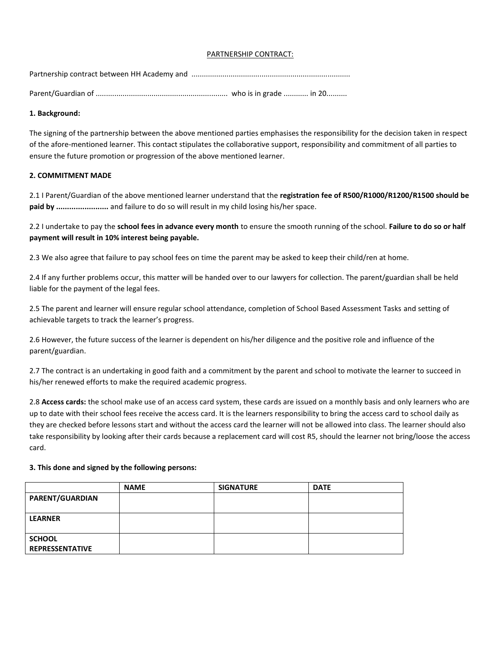# PARTNERSHIP CONTRACT:

Partnership contract between HH Academy and .............................................................................

Parent/Guardian of ................................................................ who is in grade ............ in 20..........

## **1. Background:**

The signing of the partnership between the above mentioned parties emphasises the responsibility for the decision taken in respect of the afore-mentioned learner. This contact stipulates the collaborative support, responsibility and commitment of all parties to ensure the future promotion or progression of the above mentioned learner.

# **2. COMMITMENT MADE**

2.1 I Parent/Guardian of the above mentioned learner understand that the **registration fee of R500/R1000/R1200/R1500 should be paid by ........................** and failure to do so will result in my child losing his/her space.

2.2 I undertake to pay the **school fees in advance every month** to ensure the smooth running of the school. **Failure to do so or half payment will result in 10% interest being payable.**

2.3 We also agree that failure to pay school fees on time the parent may be asked to keep their child/ren at home.

2.4 If any further problems occur, this matter will be handed over to our lawyers for collection. The parent/guardian shall be held liable for the payment of the legal fees.

2.5 The parent and learner will ensure regular school attendance, completion of School Based Assessment Tasks and setting of achievable targets to track the learner's progress.

2.6 However, the future success of the learner is dependent on his/her diligence and the positive role and influence of the parent/guardian.

2.7 The contract is an undertaking in good faith and a commitment by the parent and school to motivate the learner to succeed in his/her renewed efforts to make the required academic progress.

2.8 **Access cards:** the school make use of an access card system, these cards are issued on a monthly basis and only learners who are up to date with their school fees receive the access card. It is the learners responsibility to bring the access card to school daily as they are checked before lessons start and without the access card the learner will not be allowed into class. The learner should also take responsibility by looking after their cards because a replacement card will cost R5, should the learner not bring/loose the access card.

#### **3. This done and signed by the following persons:**

|                                         | <b>NAME</b> | <b>SIGNATURE</b> | <b>DATE</b> |
|-----------------------------------------|-------------|------------------|-------------|
| PARENT/GUARDIAN                         |             |                  |             |
| <b>LEARNER</b>                          |             |                  |             |
| <b>SCHOOL</b><br><b>REPRESSENTATIVE</b> |             |                  |             |